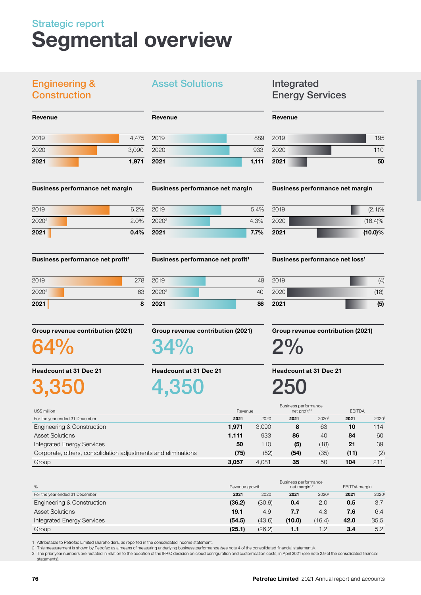# Strategic report Segmental overview

# Engineering & **Construction**

Revenue

| 2021 |  | 1,971 |
|------|--|-------|
| 2020 |  | 3,090 |
| 2019 |  | 4,475 |
|      |  |       |

#### Business performance net margin

| 2021              | 0.4% |
|-------------------|------|
| 2020 <sup>2</sup> | 2.0% |
| 2019              | 6.2% |

Business performance net profit<sup>1</sup>

| 2021              | 8   |
|-------------------|-----|
| 2020 <sup>2</sup> | 63  |
| 2019              | 278 |

Group revenue contribution (2021)

64%

Headcount at 31 Dec 21

3,350

# Asset Solutions **Integrated**

# Revenue

| 2021 | 1,111 |
|------|-------|
| 2020 | 933   |
| 2019 | 889   |

#### Business performance net margin

| 2021              | $7.7\%$ |
|-------------------|---------|
| 2020 <sup>2</sup> | 4.3%    |
| 2019              | 5.4%    |

#### Business performance net profit<sup>1</sup>

| 2019              | 48 |
|-------------------|----|
| 2020 <sup>2</sup> | 40 |
| 2021              | 86 |

#### Group revenue contribution (2021)

34%

Headcount at 31 Dec 21

4,350

# Energy Services

#### Revenue

| 2019 | 195 |
|------|-----|
| 2020 | 110 |
| 2021 | 50  |

#### Business performance net margin

| 2021 | $(10.0)\%$ |
|------|------------|
| 2020 | $(16.4)\%$ |
| 2019 | $(2.1)\%$  |

#### Business performance net loss<sup>1</sup>

| 2021 | (5)  |
|------|------|
| 2020 | (18) |
| 2019 | (4)  |

# Group revenue contribution (2021)

2%

Headcount at 31 Dec 21

250

|                                                               |         |       | Business performance      |       |               |                   |
|---------------------------------------------------------------|---------|-------|---------------------------|-------|---------------|-------------------|
| US\$ million                                                  | Revenue |       | net profit <sup>1,2</sup> |       | <b>EBITDA</b> |                   |
| For the year ended 31 December                                | 2021    | 2020  | 2021                      | 20203 | 2021          | 2020 <sup>3</sup> |
| Engineering & Construction                                    | 1.971   | 3.090 | 8                         | 63    | 10            | 114               |
| <b>Asset Solutions</b>                                        | 1,111   | 933   | 86                        | 40    | 84            | 60                |
| <b>Integrated Energy Services</b>                             | 50      | 110   | (5)                       | (18)  | 21            | 39                |
| Corporate, others, consolidation adjustments and eliminations | (75)    | (52)  | (54)                      | (35)  | (11)          | (2)               |
| Group                                                         | 3.057   | 4.081 | 35                        | 50    | 104           | 211               |

| %                              | Revenue growth |        | Business performance<br>net margin <sup>1,2</sup> |          | EBITDA margin |                   |
|--------------------------------|----------------|--------|---------------------------------------------------|----------|---------------|-------------------|
| For the year ended 31 December | 2021           | 2020   | 2021                                              | $2020^3$ | 2021          | 2020 <sup>3</sup> |
| Engineering & Construction     | (36.2)         | (30.9) | 0.4                                               | 2.0      | 0.5           | 3.7               |
| <b>Asset Solutions</b>         | 19.1           | 4.9    | 7.7                                               | 4.3      | 7.6           | 6.4               |
| Integrated Energy Services     | (54.5)         | (43.6) | (10.0)                                            | (16.4)   | 42.0          | 35.5              |
| Group                          | (25.1)         | (26.2) | 1.1                                               | 1.2      | 3.4           | 5.2               |

1 Attributable to Petrofac Limited shareholders, as reported in the consolidated income statement.<br>2 This measurement is shown by Petrofac as a means of measuring underlying business performance (see note 4 of the consolid

3 The prior year numbers are restated in relation to the adoption of the IFRIC decision on cloud configuration and customisation costs, in April 2021 (see note 2.9 of the consolidated financial statements).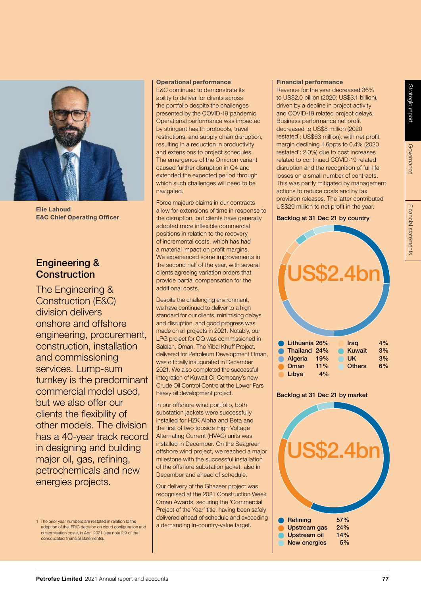

E&C Chief Operating Officer

# Engineering & **Construction**

The Engineering & Construction (E&C) division delivers onshore and offshore engineering, procurement, construction, installation and commissioning services. Lump-sum turnkey is the predominant commercial model used, but we also offer our clients the flexibility of other models. The division has a 40-year track record in designing and building major oil, gas, refining, petrochemicals and new energies projects.

#### Operational performance

E&C continued to demonstrate its ability to deliver for clients across the portfolio despite the challenges presented by the COVID-19 pandemic. Operational performance was impacted by stringent health protocols, travel restrictions, and supply chain disruption, resulting in a reduction in productivity and extensions to project schedules. The emergence of the Omicron variant caused further disruption in Q4 and extended the expected period through which such challenges will need to be navigated.

Force majeure claims in our contracts allow for extensions of time in response to US\$29 million to net profit in the year. Elie Lahoud the disruption, but clients have generally adopted more inflexible commercial positions in relation to the recovery of incremental costs, which has had a material impact on profit margins. We experienced some improvements in the second half of the year, with several clients agreeing variation orders that provide partial compensation for the additional costs.

> Despite the challenging environment, we have continued to deliver to a high standard for our clients, minimising delays and disruption, and good progress was made on all projects in 2021. Notably, our LPG project for OQ was commissioned in Salalah, Oman. The Yibal Khuff Project, delivered for Petroleum Development Oman, was officially inaugurated in December 2021. We also completed the successful integration of Kuwait Oil Company's new Crude Oil Control Centre at the Lower Fars heavy oil development project.

> In our offshore wind portfolio, both substation jackets were successfully installed for HZK Alpha and Beta and the first of two topside High Voltage Alternating Current (HVAC) units was installed in December. On the Seagreen offshore wind project, we reached a major milestone with the successful installation of the offshore substation jacket, also in December and ahead of schedule.

> Our delivery of the Ghazeer project was recognised at the 2021 Construction Week Oman Awards, securing the 'Commercial Project of the Year' title, having been safely delivered ahead of schedule and exceeding a demanding in-country-value target.

#### Financial performance

Revenue for the year decreased 36% to US\$2.0 billion (2020: US\$3.1 billion), driven by a decline in project activity and COVID-19 related project delays. Business performance net profit decreased to US\$8 million (2020 restated<sup>1</sup>: US\$63 million), with net profit margin declining 1.6ppts to 0.4% (2020 restated<sup>1</sup>: 2.0%) due to cost increases related to continued COVID-19 related disruption and the recognition of full life losses on a small number of contracts. This was partly mitigated by management actions to reduce costs and by tax provision releases. The latter contributed

#### Backlog at 31 Dec 21 by country



#### Backlog at 31 Dec 21 by market



<sup>1</sup> The prior year numbers are restated in relation to the adoption of the IFRIC decision on cloud configuration and customisation costs, in April 2021 (see note 2.9 of the consolidated financial statements).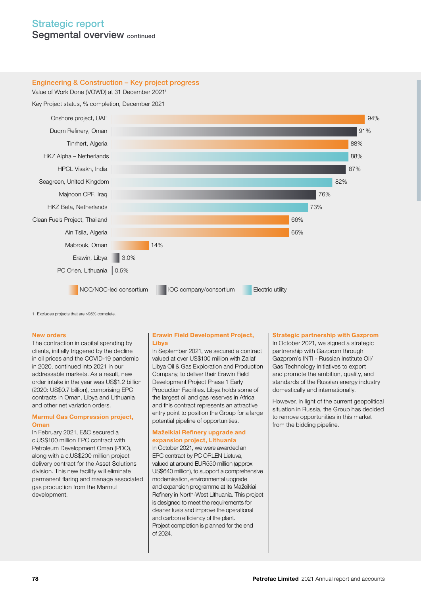# Strategic report Seamental overview continued

#### Engineering & Construction – Key project progress

Value of Work Done (VOWD) at 31 December 20211

Key Project status, % completion, December 2021



1 Excludes projects that are >95% complete.

#### New orders

The contraction in capital spending by clients, initially triggered by the decline in oil prices and the COVID-19 pandemic in 2020, continued into 2021 in our addressable markets. As a result, new order intake in the year was US\$1.2 billion (2020: US\$0.7 billion), comprising EPC contracts in Oman, Libya and Lithuania and other net variation orders.

#### Marmul Gas Compression project, **Oman**

In February 2021, E&C secured a c.US\$100 million EPC contract with Petroleum Development Oman (PDO), along with a c.US\$200 million project delivery contract for the Asset Solutions division. This new facility will eliminate permanent flaring and manage associated gas production from the Marmul development.

#### Erawin Field Development Project, Libya

In September 2021, we secured a contract valued at over US\$100 million with Zallaf Libya Oil & Gas Exploration and Production Company, to deliver their Erawin Field Development Project Phase 1 Early Production Facilities. Libya holds some of the largest oil and gas reserves in Africa and this contract represents an attractive entry point to position the Group for a large potential pipeline of opportunities.

#### Mažeikiai Refinery upgrade and expansion project, Lithuania

In October 2021, we were awarded an EPC contract by PC ORLEN Lietuva, valued at around EUR550 million (approx US\$640 million), to support a comprehensive modernisation, environmental upgrade and expansion programme at its Mažeikiai Refinery in North-West Lithuania. This project is designed to meet the requirements for cleaner fuels and improve the operational and carbon efficiency of the plant. Project completion is planned for the end of 2024.

#### Strategic partnership with Gazprom

In October 2021, we signed a strategic partnership with Gazprom through Gazprom's INTI - Russian Institute Oil/ Gas Technology Initiatives to export and promote the ambition, quality, and standards of the Russian energy industry domestically and internationally.

However, in light of the current geopolitical situation in Russia, the Group has decided to remove opportunities in this market from the bidding pipeline.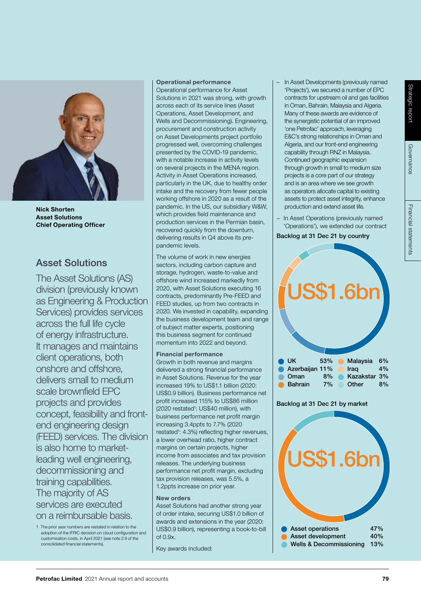

Nick Shorten Asset Solutions Chief Operating Officer

# Asset Solutions

The Asset Solutions (AS) division (previously known as Engineering & Production Services) provides services across the full life cycle of energy infrastructure. It manages and maintains client operations, both onshore and offshore, delivers small to medium scale brownfield EPC projects and provides concept, feasibility and frontend engineering design (FEED) services. The division is also home to marketleading well engineering, decommissioning and training capabilities. The majority of AS services are executed on a reimbursable basis.

1 The prior year numbers are restated in relation to the adoption of the IFRIC decision on cloud configuration and customisation costs, in April 2021 (see note 2.9 of the consolidated financial statements).

#### Operational performance

Operational performance for Asset Solutions in 2021 was strong, with growth across each of its service lines (Asset Operations, Asset Development, and Wells and Decommissioning). Engineering, procurement and construction activity on Asset Developments project portfolio progressed well, overcoming challenges presented by the COVID-19 pandemic, with a notable increase in activity levels on several projects in the MENA region. Activity in Asset Operations increased, particularly in the UK, due to healthy order intake and the recovery from fewer people working offshore in 2020 as a result of the pandemic. In the US, our subsidiary W&W, which provides field maintenance and production services in the Permian basin, recovered quickly from the downturn, delivering results in Q4 above its prepandemic levels.

The volume of work in new energies sectors, including carbon capture and storage, hydrogen, waste-to-value and offshore wind increased markedly from 2020, with Asset Solutions executing 16 contracts, predominantly Pre-FEED and FEED studies, up from two contracts in 2020. We invested in capability, expanding the business development team and range of subject matter experts, positioning this business segment for continued momentum into 2022 and beyond.

#### Financial performance

Growth in both revenue and margins delivered a strong financial performance in Asset Solutions. Revenue for the year increased 19% to US\$1.1 billion (2020: US\$0.9 billion). Business performance net profit increased 115% to US\$86 million (2020 restated<sup>1</sup>: US\$40 million), with business performance net profit margin increasing 3.4ppts to 7.7% (2020 restated1 : 4.3%) reflecting higher revenues, a lower overhead ratio, higher contract margins on certain projects, higher income from associates and tax provision releases. The underlying business performance net profit margin, excluding tax provision releases, was 5.5%, a 1.2ppts increase on prior year.

#### New orders

Asset Solutions had another strong year of order intake, securing US\$1.0 billion of awards and extensions in the year (2020: US\$0.9 billion), representing a book-to-bill of 0.9x.

Key awards included:

- In Asset Developments (previously named 'Projects'), we secured a number of EPC contracts for upstream oil and gas facilities in Oman, Bahrain, Malaysia and Algeria. Many of these awards are evidence of the synergistic potential of an improved 'one Petrofac' approach, leveraging E&C's strong relationships in Oman and Algeria, and our front-end engineering capability through RNZ in Malaysia. Continued geographic expansion through growth in small to medium size projects is a core part of our strategy and is an area where we see growth as operators allocate capital to existing assets to protect asset integrity, enhance production and extend asset life.
- In Asset Operations (previously named 'Operations'), we extended our contract

Backlog at 31 Dec 21 by country



# Asset operations 47% Asset development 40% Wells & Decommissioning 13%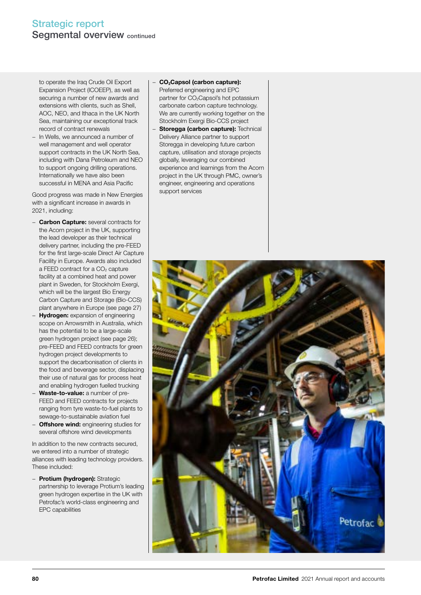to operate the Iraq Crude Oil Export Expansion Project (ICOEEP), as well as securing a number of new awards and extensions with clients, such as Shell, AOC, NEO, and Ithaca in the UK North Sea, maintaining our exceptional track record of contract renewals

In Wells, we announced a number of well management and well operator support contracts in the UK North Sea, including with Dana Petroleum and NEO to support ongoing drilling operations. Internationally we have also been successful in MENA and Asia Pacific

Good progress was made in New Energies with a significant increase in awards in 2021, including:

- − Carbon Capture: several contracts for the Acorn project in the UK, supporting the lead developer as their technical delivery partner, including the pre-FEED for the first large-scale Direct Air Capture Facility in Europe. Awards also included a FEED contract for a  $CO<sub>2</sub>$  capture facility at a combined heat and power plant in Sweden, for Stockholm Exergi, which will be the largest Bio Energy Carbon Capture and Storage (Bio-CCS) plant anywhere in Europe (see page 27)
- Hydrogen: expansion of engineering scope on Arrowsmith in Australia, which has the potential to be a large-scale green hydrogen project (see page 26); pre-FEED and FEED contracts for green hydrogen project developments to support the decarbonisation of clients in the food and beverage sector, displacing their use of natural gas for process heat and enabling hydrogen fuelled trucking
- Waste-to-value: a number of pre-FEED and FEED contracts for projects ranging from tyre waste-to-fuel plants to sewage-to-sustainable aviation fuel
- Offshore wind: engineering studies for several offshore wind developments

In addition to the new contracts secured, we entered into a number of strategic alliances with leading technology providers. These included:

− Protium (hydrogen): Strategic partnership to leverage Protium's leading green hydrogen expertise in the UK with Petrofac's world-class engineering and EPC capabilities

# − CO2Capsol (carbon capture):

- Preferred engineering and EPC partner for CO<sub>2</sub>Capsol's hot potassium carbonate carbon capture technology. We are currently working together on the Stockholm Exergi Bio-CCS project
- Storegga (carbon capture): Technical Delivery Alliance partner to support Storegga in developing future carbon capture, utilisation and storage projects globally, leveraging our combined experience and learnings from the Acorn project in the UK through PMC, owner's engineer, engineering and operations support services

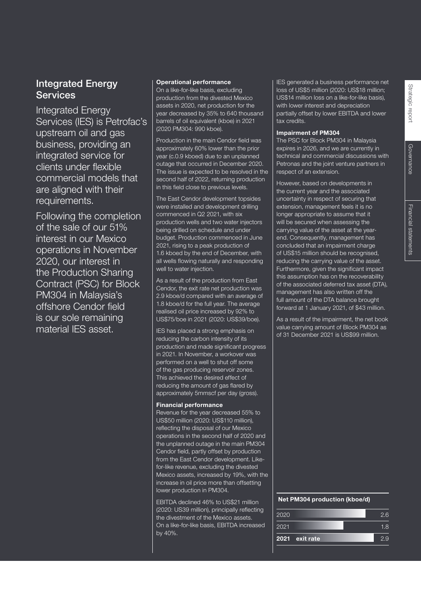# Integrated Energy **Services**

Integrated Energy Services (IES) is Petrofac's upstream oil and gas business, providing an integrated service for clients under flexible commercial models that are aligned with their requirements.

Following the completion of the sale of our 51% interest in our Mexico operations in November 2020, our interest in the Production Sharing Contract (PSC) for Block PM304 in Malaysia's offshore Cendor field is our sole remaining material IES asset.

#### Operational performance

On a like-for-like basis, excluding production from the divested Mexico assets in 2020, net production for the year decreased by 35% to 640 thousand barrels of oil equivalent (kboe) in 2021 (2020 PM304: 990 kboe).

Production in the main Cendor field was approximately 60% lower than the prior year (c.0.9 kboed) due to an unplanned outage that occurred in December 2020. The issue is expected to be resolved in the second half of 2022, returning production in this field close to previous levels.

The East Cendor development topsides were installed and development drilling commenced in Q2 2021, with six production wells and two water injectors being drilled on schedule and under budget. Production commenced in June 2021, rising to a peak production of 1.6 kboed by the end of December, with all wells flowing naturally and responding well to water injection.

As a result of the production from East Cendor, the exit rate net production was 2.9 kboe/d compared with an average of 1.8 kboe/d for the full year. The average realised oil price increased by 92% to US\$75/boe in 2021 (2020: US\$39/boe).

IES has placed a strong emphasis on reducing the carbon intensity of its production and made significant progress in 2021. In November, a workover was performed on a well to shut off some of the gas producing reservoir zones. This achieved the desired effect of reducing the amount of gas flared by approximately 5mmscf per day (gross).

#### Financial performance

Revenue for the year decreased 55% to US\$50 million (2020: US\$110 million), reflecting the disposal of our Mexico operations in the second half of 2020 and the unplanned outage in the main PM304 Cendor field, partly offset by production from the East Cendor development. Likefor-like revenue, excluding the divested Mexico assets, increased by 19%, with the increase in oil price more than offsetting lower production in PM304.

EBITDA declined 46% to US\$21 million (2020: US39 million), principally reflecting the divestment of the Mexico assets. On a like-for-like basis, EBITDA increased by 40%.

IES generated a business performance net loss of US\$5 million (2020: US\$18 million; US\$14 million loss on a like-for-like basis), with lower interest and depreciation partially offset by lower EBITDA and lower tax credits.

#### Impairment of PM304

The PSC for Block PM304 in Malaysia expires in 2026, and we are currently in technical and commercial discussions with Petronas and the joint venture partners in respect of an extension.

However, based on developments in the current year and the associated uncertainty in respect of securing that extension, management feels it is no longer appropriate to assume that it will be secured when assessing the carrying value of the asset at the yearend. Consequently, management has concluded that an impairment charge of US\$15 million should be recognised, reducing the carrying value of the asset. Furthermore, given the significant impact this assumption has on the recoverability of the associated deferred tax asset (DTA), management has also written off the full amount of the DTA balance brought forward at 1 January 2021, of \$43 million.

As a result of the impairment, the net book value carrying amount of Block PM304 as of 31 December 2021 is US\$99 million.

#### Net PM304 production (kboe/d)

| 2020 |                | 2.6 |
|------|----------------|-----|
| 2021 |                | 1 R |
|      | 2021 exit rate | っぺ  |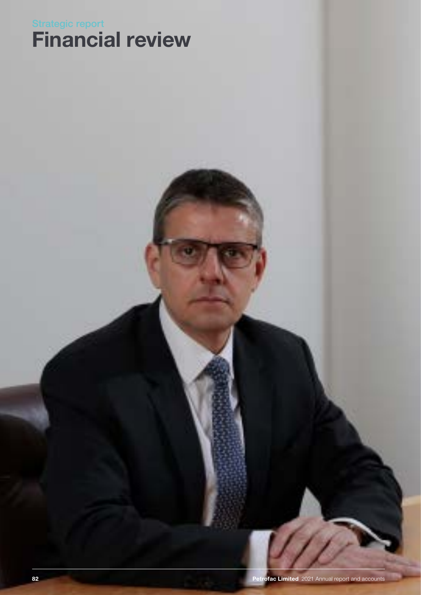# Financial review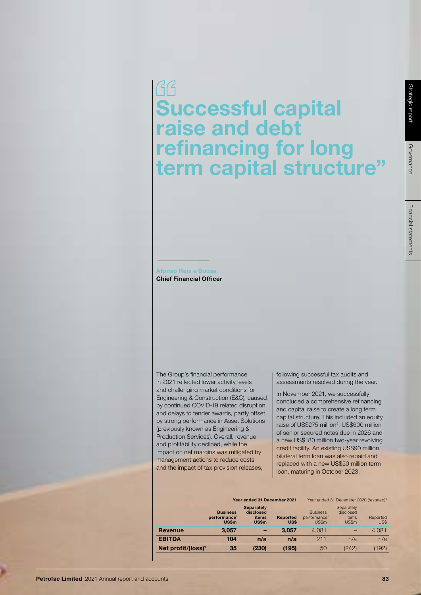$GG$ Successful capital raise and debt refinancing for long term capital structure"

#### Afonso Reis e Sousa Chief Financial Officer

The Group's financial performance in 2021 reflected lower activity levels and challenging market conditions for Engineering & Construction (E&C), caused by continued COVID-19 related disruption and delays to tender awards, partly offset by strong performance in Asset Solutions (previously known as Engineering & Production Services). Overall, revenue and profitability declined, while the impact on net margins was mitigated by management actions to reduce costs and the impact of tax provision releases,

following successful tax audits and assessments resolved during the year.

In November 2021, we successfully concluded a comprehensive refinancing and capital raise to create a long term capital structure. This included an equity raise of US\$275 million<sup>4</sup>, US\$600 million of senior secured notes due in 2026 and a new US\$180 million two-year revolving credit facility. An existing US\$90 million bilateral term loan was also repaid and replaced with a new US\$50 million term loan, maturing in October 2023.

|                                |                                                      | Year ended 31 December 2021                      |                         |                                                      | Year ended 31 December 2020 (restated) <sup>3</sup> |                  |
|--------------------------------|------------------------------------------------------|--------------------------------------------------|-------------------------|------------------------------------------------------|-----------------------------------------------------|------------------|
|                                | <b>Business</b><br>performance <sup>2</sup><br>US\$m | <b>Separately</b><br>disclosed<br>items<br>US\$m | <b>Reported</b><br>US\$ | <b>Business</b><br>performance <sup>2</sup><br>US\$m | Separately<br>disclosed<br>items<br>US\$m           | Reported<br>US\$ |
| Revenue                        | 3.057                                                |                                                  | 3.057                   | 4.081                                                |                                                     | 4,081            |
| <b>EBITDA</b>                  | 104                                                  | n/a                                              | n/a                     | 211                                                  | n/a                                                 | n/a              |
| Net profit/(loss) <sup>1</sup> | 35                                                   | (230)                                            | (195)                   | 50                                                   | (242)                                               | 192)             |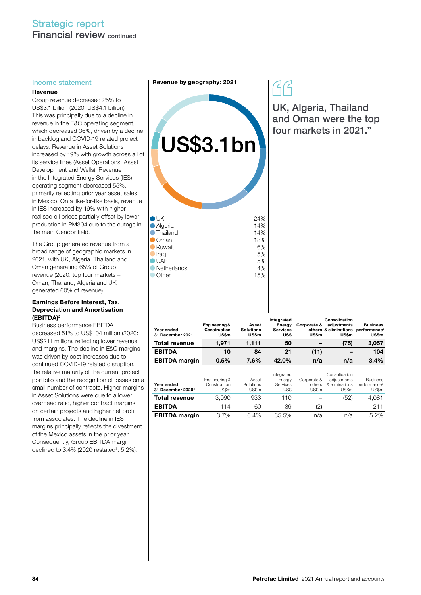# Strategic report Financial review continued

#### Revenue

Group revenue decreased 25% to US\$3.1 billion (2020: US\$4.1 billion). This was principally due to a decline in revenue in the E&C operating segment, which decreased 36%, driven by a decline in backlog and COVID-19 related project delays. Revenue in Asset Solutions increased by 19% with growth across all of its service lines (Asset Operations, Asset Development and Wells). Revenue in the Integrated Energy Services (IES) operating segment decreased 55%, primarily reflecting prior year asset sales in Mexico. On a like-for-like basis, revenue in IES increased by 19% with higher realised oil prices partially offset by lower production in PM304 due to the outage in the main Cendor field.

The Group generated revenue from a broad range of geographic markets in 2021, with UK, Algeria, Thailand and Oman generating 65% of Group revenue (2020: top four markets – Oman, Thailand, Algeria and UK generated 60% of revenue).

#### Earnings Before Interest, Tax, Depreciation and Amortisation (EBITDA)2

Business performance EBITDA decreased 51% to US\$104 million (2020: US\$211 million), reflecting lower revenue and margins. The decline in E&C margins was driven by cost increases due to continued COVID-19 related disruption, the relative maturity of the current project portfolio and the recognition of losses on a small number of contracts. Higher margins in Asset Solutions were due to a lower overhead ratio, higher contract margins on certain projects and higher net profit from associates. The decline in IES margins principally reflects the divestment of the Mexico assets in the prior year. Consequently, Group EBITDA margin declined to 3.4% (2020 restated<sup>3</sup>: 5.2%).

Income statement **Revenue by geography: 2021** 



UK, Algeria, Thailand and Oman were the top four markets in 2021."

| Year ended<br>31 December 2021              | Engineering &<br>Construction<br>US\$m | Asset<br><b>Solutions</b><br><b>US\$m</b> | Integrated<br>Energy<br><b>Services</b><br>US\$ | Corporate &<br>US\$m           | Consolidation<br>adiustments<br>others & eliminations<br>US\$m | <b>Business</b><br>performance <sup>2</sup><br>US\$m |
|---------------------------------------------|----------------------------------------|-------------------------------------------|-------------------------------------------------|--------------------------------|----------------------------------------------------------------|------------------------------------------------------|
| <b>Total revenue</b>                        | 1,971                                  | 1,111                                     | 50                                              |                                | (75)                                                           | 3,057                                                |
| <b>EBITDA</b>                               | 10                                     | 84                                        | 21                                              | (11)                           |                                                                | 104                                                  |
| <b>EBITDA</b> margin                        | 0.5%                                   | 7.6%                                      | 42.0%                                           | n/a                            | n/a                                                            | 3.4%                                                 |
| Year ended<br>31 December 2020 <sup>3</sup> | Engineering &<br>Construction<br>US\$m | Asset<br>Solutions<br>US\$m               | Integrated<br>Energy<br>Services<br>US\$        | Corporate &<br>others<br>US\$m | Consolidation<br>adjustments<br>& eliminations<br>US\$m        | <b>Business</b><br>performance <sup>2</sup><br>US\$m |
| <b>Total revenue</b>                        | 3,090                                  | 933                                       | 110                                             |                                | (52)                                                           | 4,081                                                |
| <b>EBITDA</b>                               | 114                                    | 60                                        | 39                                              | '2)                            |                                                                | 211                                                  |

EBITDA margin 3.7% 6.4% 35.5% n/a n/a 5.2%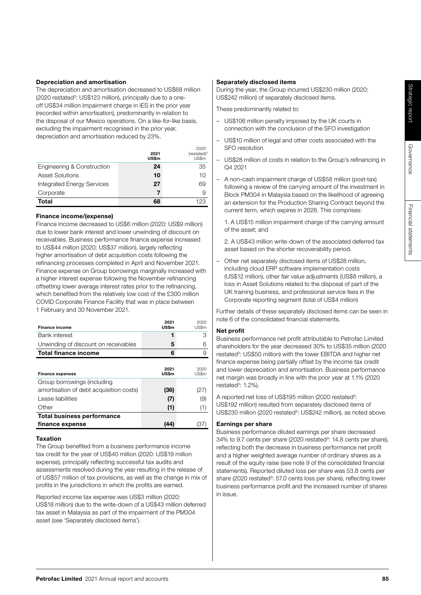Governance

Governance

## Depreciation and amortisation

The depreciation and amortisation decreased to US\$68 million (2020 restated<sup>3</sup>: US\$123 million), principally due to a oneoff US\$34 million impairment charge in IES in the prior year (recorded within amortisation), predominantly in relation to the disposal of our Mexico operations. On a like-for-like basis, excluding the impairment recognised in the prior year, depreciation and amortisation reduced by 23%.

|                                   | 2021<br><b>US\$m</b> | 2020<br>$(restated)^3$<br>US\$m |
|-----------------------------------|----------------------|---------------------------------|
| Engineering & Construction        | 24                   | 35                              |
| <b>Asset Solutions</b>            | 10                   | 10                              |
| <b>Integrated Energy Services</b> | 27                   | 69                              |
| Corporate                         | 7                    | 9                               |
| <b>Total</b>                      | 68                   | 123                             |

## Finance income/(expense)

Finance income decreased to US\$6 million (2020: US\$9 million) due to lower bank interest and lower unwinding of discount on receivables. Business performance finance expense increased to US\$44 million (2020: US\$37 million), largely reflecting higher amortisation of debt acquisition costs following the refinancing processes completed in April and November 2021. Finance expense on Group borrowings marginally increased with a higher interest expense following the November refinancing offsetting lower average interest rates prior to the refinancing, which benefited from the relatively low cost of the £300 million COVID Corporate Finance Facility that was in place between 1 February and 30 November 2021.

| <b>Finance income</b>                   | 2021<br><b>US\$m</b> | 2020<br>US\$m |
|-----------------------------------------|----------------------|---------------|
| <b>Bank interest</b>                    | 1                    | З             |
| Unwinding of discount on receivables    | 5                    | 6             |
| Total finance income                    | 6                    | 9             |
|                                         |                      |               |
| <b>Finance expenses</b>                 | 2021<br>US\$m        | 2020<br>US\$m |
| Group borrowings (including             |                      |               |
| amortisation of debt acquisition costs) | (36)                 | (27)          |
| Lease liabilities                       | (7)                  | (9)           |
| Other                                   | (1)                  | (1)           |
| <b>Total business performance</b>       |                      |               |
| finance expense                         | 144                  | 37            |

## Taxation

The Group benefited from a business performance income tax credit for the year of US\$40 million (2020: US\$19 million expense), principally reflecting successful tax audits and assessments resolved during the year resulting in the release of of US\$57 million of tax provisions, as well as the change in mix of profits in the jurisdictions in which the profits are earned.

Reported income tax expense was US\$3 million (2020: US\$18 million) due to the write-down of a US\$43 million deferred tax asset in Malaysia as part of the impairment of the PM304 asset (see 'Separately disclosed items').

## Separately disclosed items

During the year, the Group incurred US\$230 million (2020: US\$242 million) of separately disclosed items.

These predominantly related to:

- US\$106 million penalty imposed by the UK courts in connection with the conclusion of the SFO investigation
- US\$10 million of legal and other costs associated with the SFO resolution
- US\$28 million of costs in relation to the Group's refinancing in Q4 2021
- A non-cash impairment charge of US\$58 million (post-tax) following a review of the carrying amount of the investment in Block PM304 in Malaysia based on the likelihood of agreeing an extension for the Production Sharing Contract beyond the current term, which expires in 2026. This comprises:

 1. A US\$15 million impairment charge of the carrying amount of the asset; and

 2. A US\$43 million write-down of the associated deferred tax asset based on the shorter recoverability period.

– Other net separately disclosed items of US\$28 million, including cloud ERP software implementation costs (US\$12 million), other fair value adjustments (US\$8 million), a loss in Asset Solutions related to the disposal of part of the UK training business, and professional service fees in the Corporate reporting segment (total of US\$4 million)

Further details of these separately disclosed items can be seen in note 6 of the consolidated financial statements.

# Net profit

Business performance net profit attributable to Petrofac Limited shareholders for the year decreased 30% to US\$35 million (2020 restated<sup>3</sup>: US\$50 million) with the lower EBITDA and higher net finance expense being partially offset by the income tax credit and lower depreciation and amortisation. Business performance net margin was broadly in line with the prior year at 1.1% (2020 restated<sup>3</sup>: 1.2%).

A reported net loss of US\$195 million (2020 restated<sup>3</sup>: US\$192 million) resulted from separately disclosed items of US\$230 million (2020 restated<sup>3</sup>: US\$242 million), as noted above.

# Earnings per share

Business performance diluted earnings per share decreased 34% to 9.7 cents per share (2020 restated<sup>3</sup>: 14.8 cents per share), reflecting both the decrease in business performance net profit and a higher weighted average number of ordinary shares as a result of the equity raise (see note 9 of the consolidated financial statements). Reported diluted loss per share was 53.8 cents per share (2020 restated<sup>3</sup>: 57.0 cents loss per share), reflecting lower business performance profit and the increased number of shares in issue.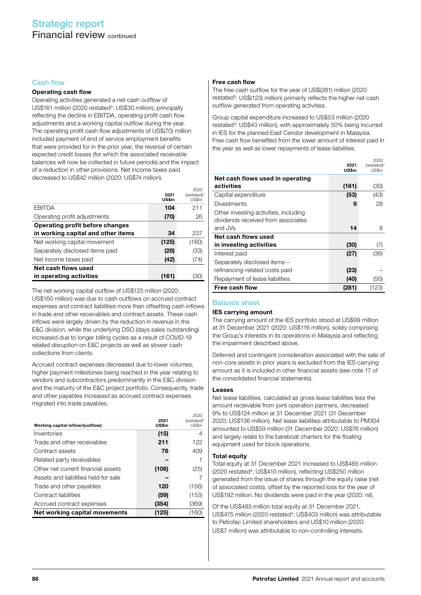#### Cash flow

#### Operating cash flow

Operating activities generated a net cash outflow of US\$161 million (2020 restated<sup>3</sup>: US\$30 million), principally reflecting the decline in EBITDA, operating profit cash flow adjustments and a working capital outflow during the year. The operating profit cash flow adjustments of US\$(70) million included payment of end of service employment benefits that were provided for in the prior year, the reversal of certain expected credit losses (for which the associated receivable balances will now be collected in future periods) and the impact of a reduction in other provisions. Net income taxes paid decreased to US\$42 million (2020: US\$74 million).

|                                    | 2021<br>US\$m | 2020<br>$(restated)^3$<br>US\$m |
|------------------------------------|---------------|---------------------------------|
| <b>EBITDA</b>                      | 104           | 211                             |
| Operating profit adjustments       | (70)          | 26                              |
| Operating profit before changes    |               |                                 |
| in working capital and other items | 34            | 237                             |
| Net working capital movement       | (125)         | (160)                           |
| Separately disclosed items paid    | (28)          | (33)                            |
| Net income taxes paid              | (42)          | (74)                            |
| Net cash flows used                |               |                                 |
| in operating activities            | (161)         | '3C                             |

The net working capital outflow of US\$125 million (2020: US\$160 million) was due to cash outflows on accrued contract expenses and contract liabilities more than offsetting cash inflows in trade and other receivables and contract assets. These cash inflows were largely driven by the reduction in revenue in the E&C division, while the underlying DSO (days sales outstanding) increased due to longer billing cycles as a result of COVID-19 related disruption on E&C projects as well as slower cash collections from clients.

Accrued contract expenses decreased due to lower volumes, higher payment milestones being reached in the year relating to vendors and subcontractors predominantly in the E&C division and the maturity of the E&C project portfolio. Consequently, trade and other payables increased as accrued contract expenses migrated into trade payables.

| Working capital inflow/(outflow):    | 2021<br>US\$m | 2020<br>(restated) <sup>®</sup><br>US\$m |
|--------------------------------------|---------------|------------------------------------------|
| Inventories                          | (15)          | 4                                        |
| Trade and other receivables          | 211           | 122                                      |
| Contract assets                      | 78            | 409                                      |
| Related party receivables            |               |                                          |
| Other net current financial assets   | (106)         | (25)                                     |
| Assets and liabilities held for sale |               |                                          |
| Trade and other payables             | 120           | (156)                                    |
| Contract liabilities                 | (59)          | (153)                                    |
| Accrued contract expenses            | (354)         | (369)                                    |
| Net working capital movements        | (125)         | (160)                                    |

#### Free cash flow

The free cash outflow for the year of US\$(281) million (2020 restated<sup>5</sup>: US\$(123) million) primarily reflects the higher net cash outflow generated from operating activities.

Group capital expenditure increased to US\$53 million (2020 restated<sup>3</sup>: US\$43 million), with approximately 50% being incurred in IES for the planned East Cendor development in Malaysia. Free cash flow benefited from the lower amount of interest paid in the year as well as lower repayments of lease liabilities.

2020

|                                       | 2021<br><b>US\$m</b> | $(restated)^3$<br>US\$m |
|---------------------------------------|----------------------|-------------------------|
| Net cash flows used in operating      |                      |                         |
| activities                            | (161)                | (30)                    |
| Capital expenditure                   | (53)                 | (43)                    |
| <b>Divestments</b>                    | 9                    | 28                      |
| Other investing activities, including |                      |                         |
| dividends received from associates    |                      |                         |
| and JVs                               | 14                   | 8                       |
| Net cash flows used                   |                      |                         |
| in investing activities               | (30)                 | (7)                     |
| Interest paid                         | (27)                 | (36)                    |
| Separately disclosed items -          |                      |                         |
| refinancing-related costs paid        | (23)                 |                         |
| Repayment of lease liabilities        | (40)                 | (50)                    |
| Free cash flow                        | (281)                | (123)                   |

#### Balance sheet

#### IES carrying amount

The carrying amount of the IES portfolio stood at US\$99 million at 31 December 2021 (2020: US\$116 million), solely comprising the Group's interests in its operations in Malaysia and reflecting the impairment described above.

Deferred and contingent consideration associated with the sale of non-core assets in prior years is excluded from the IES carrying amount as it is included in other financial assets (see note 17 of the consolidated financial statements).

#### Leases

Net lease liabilities, calculated as gross lease liabilities less the amount receivable from joint operation partners, decreased 9% to US\$124 million at 31 December 2021 (31 December 2020: US\$136 million). Net lease liabilities attributable to PM304 amounted to US\$59 million (31 December 2020: US\$76 million) and largely relate to the bareboat charters for the floating equipment used for block operations.

#### Total equity

Total equity at 31 December 2021 increased to US\$485 million (2020 restated<sup>3</sup>: US\$410 million), reflecting US\$250 million generated from the issue of shares through the equity raise (net of associated costs), offset by the reported loss for the year of US\$192 million. No dividends were paid in the year (2020: nil).

Of the US\$485 million total equity at 31 December 2021, US\$475 million (2020 restated<sup>3</sup>: US\$403 million) was attributable to Petrofac Limited shareholders and US\$10 million (2020: US\$7 million) was attributable to non-controlling interests.